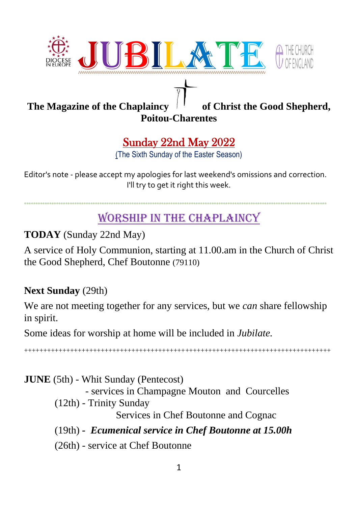

## The Magazine of the Chaplaincy  $\begin{bmatrix} 1 & 1 \end{bmatrix}$  of Christ the Good Shepherd,

## **Poitou-Charentes**

## Sunday 22nd May 2022

(The Sixth Sunday of the Easter Season)

Editor's note - please accept my apologies for last weekend's omissions and correction. I'll try to get it right this week.

°°°°°°°°°°°°°°°°°°°°°°°°°°°°°°°°°°°°°°°°°°°°°°°°°°°°°°°°°°°°°°°°°°°°°°°°°°°°°°°°°°°°°°°°°°°°°°°°°°°°°°°°°°°°°°°°°°°°°°°°°°°°°°°°°°°°

## WORSHIP IN THE CHAPLAINCY

## **TODAY** (Sunday 22nd May)

A service of Holy Communion, starting at 11.00.am in the Church of Christ the Good Shepherd, Chef Boutonne (79110)

#### **Next Sunday** (29th)

We are not meeting together for any services, but we *can* share fellowship in spirit.

Some ideas for worship at home will be included in *Jubilate.*

++++++++++++++++++++++++++++++++++++++++++++++++++++++++++++++++++++++++++++++++

**JUNE** (5th) - Whit Sunday (Pentecost) - services in Champagne Mouton and Courcelles (12th) - Trinity Sunday Services in Chef Boutonne and Cognac (19th) *- Ecumenical service in Chef Boutonne at 15.00h* (26th) - service at Chef Boutonne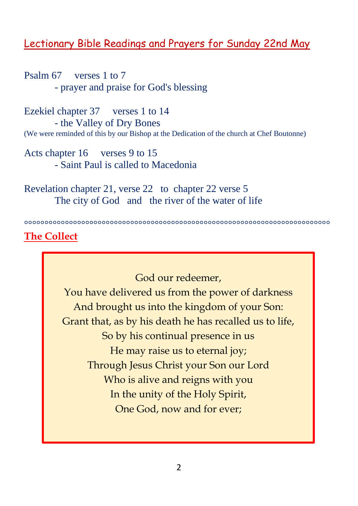## Lectionary Bible Readings and Prayers for Sunday 22nd May

Psalm 67 verses 1 to 7 - prayer and praise for God's blessing

Ezekiel chapter 37 verses 1 to 14 - the Valley of Dry Bones (We were reminded of this by our Bishop at the Dedication of the church at Chef Boutonne)

Acts chapter 16 verses 9 to 15 - Saint Paul is called to Macedonia

Revelation chapter 21, verse 22 to chapter 22 verse 5 The city of God and the river of the water of life

°°°°°°°°°°°°°°°°°°°°°°°°°°°°°°°°°°°°°°°°°°°°°°°°°°°°°°°°°°°°°°°°°°°°°°°°°°°

#### **The Collect**

God our redeemer, You have delivered us from the power of darkness And brought us into the kingdom of your Son: Grant that, as by his death he has recalled us to life, So by his continual presence in us He may raise us to eternal joy; Through Jesus Christ your Son our Lord Who is alive and reigns with you In the unity of the Holy Spirit, One God, now and for ever;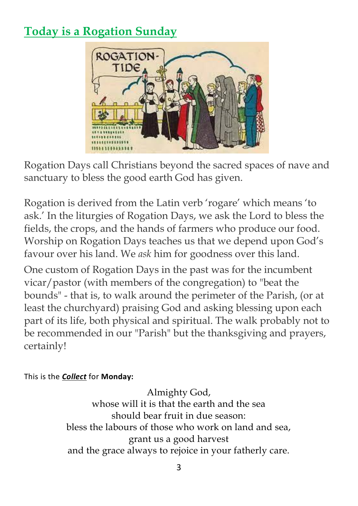## **Today is a Rogation Sunday**



Rogation Days call Christians beyond the sacred spaces of nave and sanctuary to bless the good earth God has given.

Rogation is derived from the Latin verb 'rogare' which means 'to ask.' In the liturgies of Rogation Days, we ask the Lord to bless the fields, the crops, and the hands of farmers who produce our food. Worship on Rogation Days teaches us that we depend upon God's favour over his land. We *ask* him for goodness over this land.

One custom of Rogation Days in the past was for the incumbent vicar/pastor (with members of the congregation) to "beat the bounds" - that is, to walk around the perimeter of the Parish, (or at least the churchyard) praising God and asking blessing upon each part of its life, both physical and spiritual. The walk probably not to be recommended in our "Parish" but the thanksgiving and prayers, certainly!

This is the *Collect* for **Monday:**

Almighty God, whose will it is that the earth and the sea should bear fruit in due season: bless the labours of those who work on land and sea, grant us a good harvest and the grace always to rejoice in your fatherly care.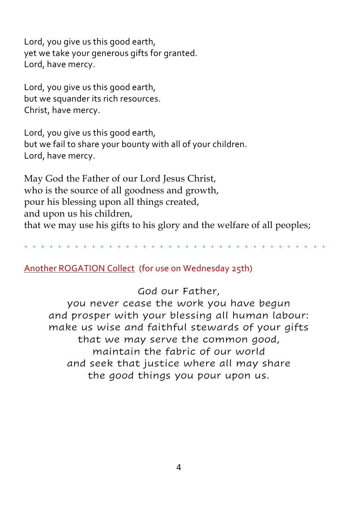Lord, you give us this good earth, yet we take your generous gifts for granted. Lord, have mercy.

Lord, you give us this good earth, but we squander its rich resources. Christ, have mercy.

Lord, you give us this good earth, but we fail to share your bounty with all of your children. Lord, have mercy.

May God the Father of our Lord Jesus Christ, who is the source of all goodness and growth, pour his blessing upon all things created, and upon us his children, that we may use his gifts to his glory and the welfare of all peoples;

+ + + + + + + + + + + + + + + + + + + + + + + + + + + + + + + + + + + +

#### Another ROGATION Collect (for use on Wednesday 25th)

God our Father,

you never cease the work you have begun and prosper with your blessing all human labour: make us wise and faithful stewards of your gifts that we may serve the common good, maintain the fabric of our world and seek that justice where all may share the good things you pour upon us.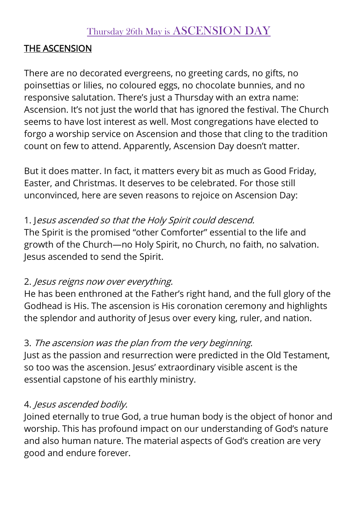## Thursday 26th May is ASCENSION DAY

#### THE ASCENSION

There are no decorated evergreens, no greeting cards, no gifts, no poinsettias or lilies, no coloured eggs, no chocolate bunnies, and no responsive salutation. There's just a Thursday with an extra name: Ascension. It's not just the world that has ignored the festival. The Church seems to have lost interest as well. Most congregations have elected to forgo a worship service on Ascension and those that cling to the tradition count on few to attend. Apparently, Ascension Day doesn't matter.

But it does matter. In fact, it matters every bit as much as Good Friday, Easter, and Christmas. It deserves to be celebrated. For those still unconvinced, here are seven reasons to rejoice on Ascension Day:

#### 1. Jesus ascended so that the Holy Spirit could descend.

The Spirit is the promised "other Comforter" essential to the life and growth of the Church—no Holy Spirit, no Church, no faith, no salvation. Jesus ascended to send the Spirit.

#### 2. Jesus reigns now over everything.

He has been enthroned at the Father's right hand, and the full glory of the Godhead is His. The ascension is His coronation ceremony and highlights the splendor and authority of Jesus over every king, ruler, and nation.

## 3. The ascension was the plan from the very beginning.

Just as the passion and resurrection were predicted in the Old Testament, so too was the ascension. Jesus' extraordinary visible ascent is the essential capstone of his earthly ministry.

## 4. Jesus ascended bodily.

Joined eternally to true God, a true human body is the object of honor and worship. This has profound impact on our understanding of God's nature and also human nature. The material aspects of God's creation are very good and endure forever.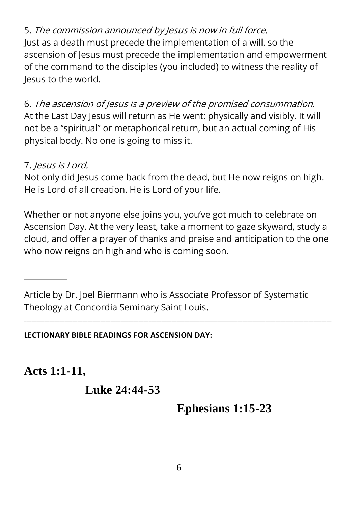5. The commission announced by Jesus is now in full force. Just as a death must precede the implementation of a will, so the ascension of Jesus must precede the implementation and empowerment of the command to the disciples (you included) to witness the reality of Jesus to the world.

6. The ascension of Jesus is a preview of the promised consummation. At the Last Day Jesus will return as He went: physically and visibly. It will not be a "spiritual" or metaphorical return, but an actual coming of His physical body. No one is going to miss it.

## 7. Jesus is Lord.

Not only did Jesus come back from the dead, but He now reigns on high. He is Lord of all creation. He is Lord of your life.

Whether or not anyone else joins you, you've got much to celebrate on Ascension Day. At the very least, take a moment to gaze skyward, study a cloud, and offer a prayer of thanks and praise and anticipation to the one who now reigns on high and who is coming soon.

Article by Dr. Joel Biermann who is Associate Professor of Systematic Theology at Concordia Seminary Saint Louis.

\_\_\_\_\_\_\_\_\_\_\_\_\_\_\_\_\_\_\_\_\_\_\_\_\_\_\_\_\_\_\_\_\_\_\_\_\_\_\_\_\_\_\_\_\_\_\_\_\_\_\_\_\_\_\_\_\_\_\_\_\_\_\_\_\_\_\_\_\_\_\_\_\_\_\_\_\_\_\_\_\_\_\_\_\_\_\_\_\_\_\_\_\_\_\_\_\_\_\_\_\_\_\_\_\_\_\_\_\_\_\_\_\_\_\_\_\_\_\_\_\_

#### **LECTIONARY BIBLE READINGS FOR ASCENSION DAY:**

**Acts 1:1-11,**

**Luke 24:44-53**

**Ephesians 1:15-23**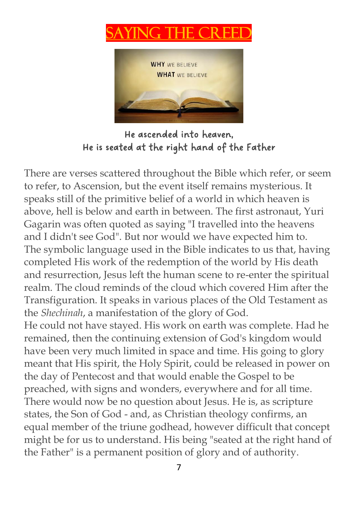# ING THE **C**



He ascended into heaven, He is seated at the right hand of the Father

There are verses scattered throughout the Bible which refer, or seem to refer, to Ascension, but the event itself remains mysterious. It speaks still of the primitive belief of a world in which heaven is above, hell is below and earth in between. The first astronaut, Yuri Gagarin was often quoted as saying "I travelled into the heavens and I didn't see God". But nor would we have expected him to. The symbolic language used in the Bible indicates to us that, having completed His work of the redemption of the world by His death and resurrection, Jesus left the human scene to re-enter the spiritual realm. The cloud reminds of the cloud which covered Him after the Transfiguration. It speaks in various places of the Old Testament as the *Shechinah*, a manifestation of the glory of God.

He could not have stayed. His work on earth was complete. Had he remained, then the continuing extension of God's kingdom would have been very much limited in space and time. His going to glory meant that His spirit, the Holy Spirit, could be released in power on the day of Pentecost and that would enable the Gospel to be preached, with signs and wonders, everywhere and for all time. There would now be no question about Jesus. He is, as scripture states, the Son of God - and, as Christian theology confirms, an equal member of the triune godhead, however difficult that concept might be for us to understand. His being "seated at the right hand of the Father" is a permanent position of glory and of authority.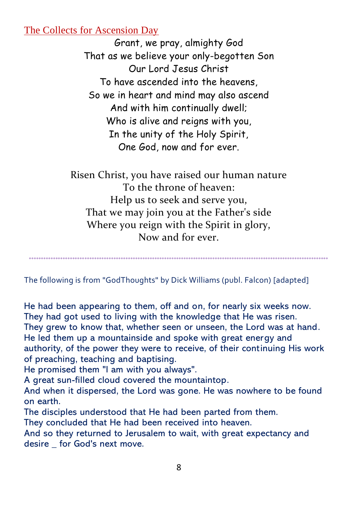#### The Collects for Ascension Day

Grant, we pray, almighty God That as we believe your only-begotten Son Our Lord Jesus Christ To have ascended into the heavens, So we in heart and mind may also ascend And with him continually dwell; Who is alive and reigns with you, In the unity of the Holy Spirit, One God, now and for ever.

Risen Christ, you have raised our human nature To the throne of heaven: Help us to seek and serve you, That we may join you at the Father's side Where you reign with the Spirit in glory, Now and for ever.

The following is from "GodThoughts" by Dick Williams (publ. Falcon) [adapted]

°°°°°°°°°°°°°°°°°°°°°°°°°°°°°°°°°°°°°°°°°°°°°°°°°°°°°°°°°°°°°°°°°°°°°°°°°°°°°°°°°°°°°°°°°°°°°°°°°°°°°°°°°°°°°°°°°°°°°°°°°°°°

He had been appearing to them, off and on, for nearly six weeks now. They had got used to living with the knowledge that He was risen. They grew to know that, whether seen or unseen, the Lord was at hand. He led them up a mountainside and spoke with great energy and authority, of the power they were to receive, of their continuing His work of preaching, teaching and baptising.

He promised them "I am with you always".

A great sun-filled cloud covered the mountaintop.

And when it dispersed, the Lord was gone. He was nowhere to be found on earth.

The disciples understood that He had been parted from them.

They concluded that He had been received into heaven.

And so they returned to Jerusalem to wait, with great expectancy and desire for God's next move.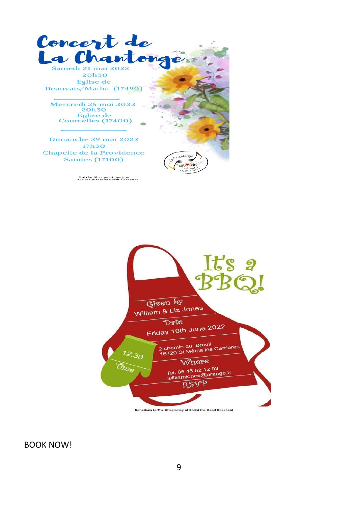

Entrée libre participation<br>une partie reversée pour l'Urkraine



Donations to The Chaplaincy of Christ the Good Shepherd

BOOK NOW!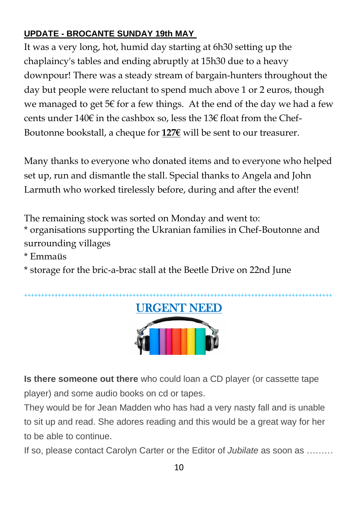#### **UPDATE - BROCANTE SUNDAY 19th MAY**

It was a very long, hot, humid day starting at 6h30 setting up the chaplaincy's tables and ending abruptly at 15h30 due to a heavy downpour! There was a steady stream of bargain-hunters throughout the day but people were reluctant to spend much above 1 or 2 euros, though we managed to get  $5 \in$  for a few things. At the end of the day we had a few cents under 140€ in the cashbox so, less the 13€ float from the Chef-Boutonne bookstall, a cheque for **127€** will be sent to our treasurer.

Many thanks to everyone who donated items and to everyone who helped set up, run and dismantle the stall. Special thanks to Angela and John Larmuth who worked tirelessly before, during and after the event!

The remaining stock was sorted on Monday and went to:

\* organisations supporting the Ukranian families in Chef-Boutonne and surrounding villages

\* Emmaüs

\* storage for the bric-a-brac stall at the Beetle Drive on 22nd June



**Is there someone out there** who could loan a CD player (or cassette tape player) and some audio books on cd or tapes.

They would be for Jean Madden who has had a very nasty fall and is unable to sit up and read. She adores reading and this would be a great way for her to be able to continue.

If so, please contact Carolyn Carter or the Editor of *Jubilate* as soon as ………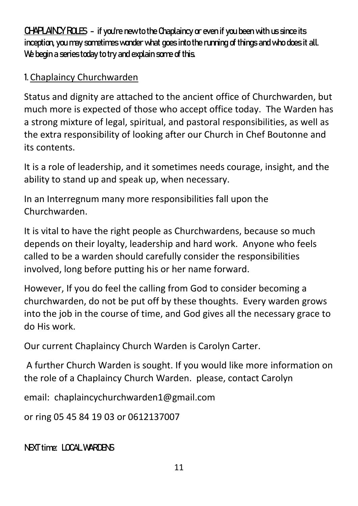**CHAPLAINCY ROLES** - if you're new to the Chaplaincy or even if you been with us since its inception, you may sometimes wonder what goes into the running of things and who does it all. We begin a series today to try and explain some of this.

#### 1. Chaplaincy Churchwarden

Status and dignity are attached to the ancient office of Churchwarden, but much more is expected of those who accept office today. The Warden has a strong mixture of legal, spiritual, and pastoral responsibilities, as well as the extra responsibility of looking after our Church in Chef Boutonne and its contents.

It is a role of leadership, and it sometimes needs courage, insight, and the ability to stand up and speak up, when necessary.

In an Interregnum many more responsibilities fall upon the Churchwarden.

It is vital to have the right people as Churchwardens, because so much depends on their loyalty, leadership and hard work. Anyone who feels called to be a warden should carefully consider the responsibilities involved, long before putting his or her name forward.

However, If you do feel the calling from God to consider becoming a churchwarden, do not be put off by these thoughts. Every warden grows into the job in the course of time, and God gives all the necessary grace to do His work.

Our current Chaplaincy Church Warden is Carolyn Carter.

A further Church Warden is sought. If you would like more information on the role of a Chaplaincy Church Warden. please, contact Carolyn

email: chaplaincychurchwarden1@gmail.com

or ring 05 45 84 19 03 or 0612137007

NEXT time: LOCAL WARDENS